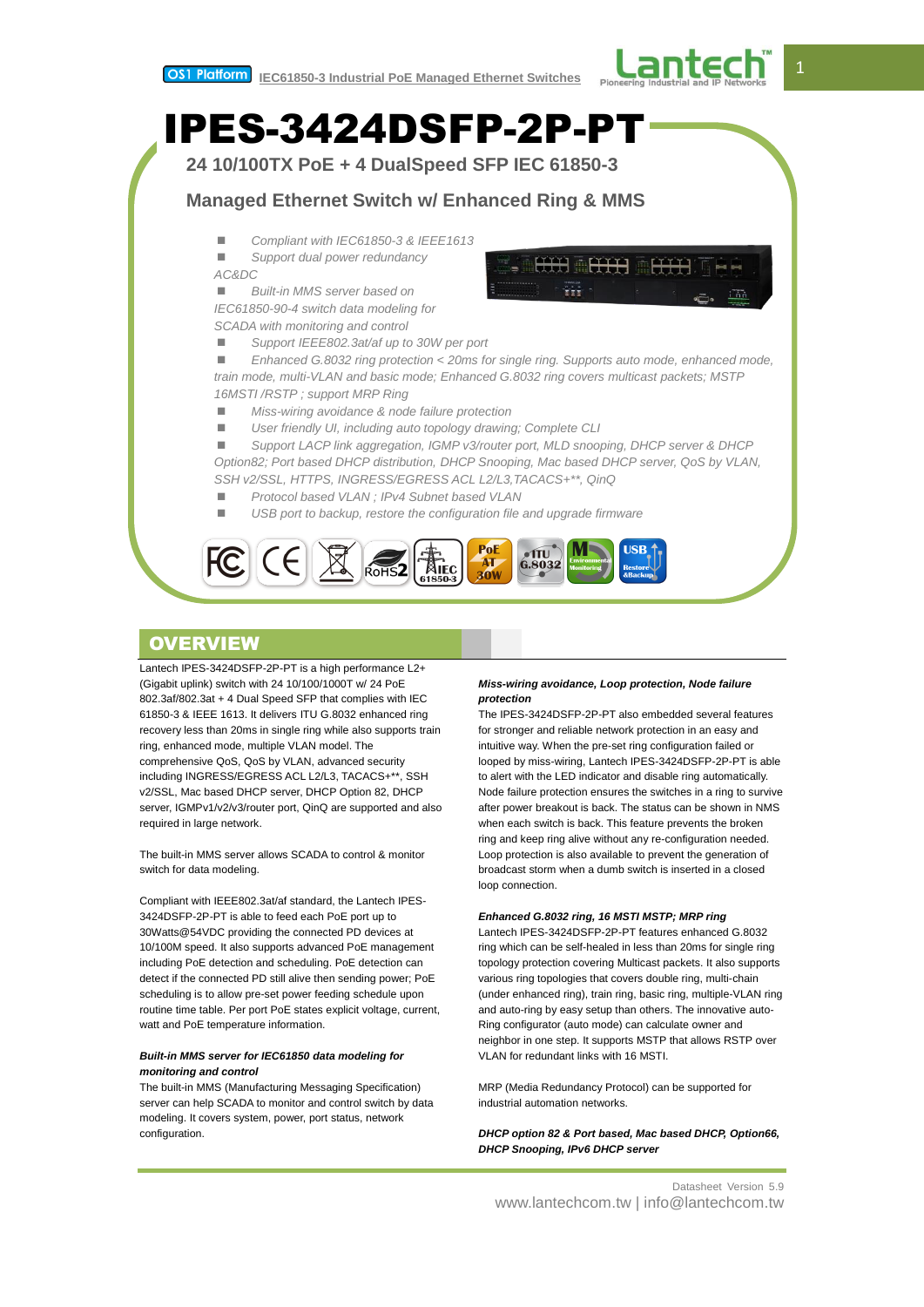



# **Managed Ethernet Switch w/ Enhanced Ring & MMS**

■ Compliant with IEC61850-3 & IEEE1613

 *Support dual power redundancy AC&DC*

 *Built-in MMS server based on IEC61850-90-4 switch data modeling for SCADA with monitoring and control*

*Support IEEE802.3at/af up to 30W per port*

 *Enhanced G.8032 ring protection < 20ms for single ring. Supports auto mode, enhanced mode, train mode, multi-VLAN and basic mode; Enhanced G.8032 ring covers multicast packets; MSTP 16MSTI /RSTP ; support MRP Ring*

*Miss-wiring avoidance & node failure protection*

*User friendly UI, including auto topology drawing; Complete CLI*

 *Support LACP link aggregation, IGMP v3/router port, MLD snooping, DHCP server & DHCP Option82; Port based DHCP distribution, DHCP Snooping, Mac based DHCP server, QoS by VLAN, SSH v2/SSL, HTTPS, INGRESS/EGRESS ACL L2/L3,TACACS+\*\*, QinQ*

- *Protocol based VLAN ; IPv4 Subnet based VLAN*
- *USB port to backup, restore the configuration file and upgrade firmware*



# **OVERVIEW**

Lantech IPES-3424DSFP-2P-PT is a high performance L2+ (Gigabit uplink) switch with 24 10/100/1000T w/ 24 PoE 802.3af/802.3at + 4 Dual Speed SFP that complies with IEC 61850-3 & IEEE 1613. It delivers ITU G.8032 enhanced ring recovery less than 20ms in single ring while also supports train ring, enhanced mode, multiple VLAN model. The comprehensive QoS, QoS by VLAN, advanced security including INGRESS/EGRESS ACL L2/L3, TACACS+\*\*, SSH v2/SSL, Mac based DHCP server, DHCP Option 82, DHCP server, IGMPv1/v2/v3/router port, QinQ are supported and also required in large network.

The built-in MMS server allows SCADA to control & monitor switch for data modeling.

Compliant with IEEE802.3at/af standard, the Lantech IPES-3424DSFP-2P-PT is able to feed each PoE port up to 30Watts@54VDC providing the connected PD devices at 10/100M speed. It also supports advanced PoE management including PoE detection and scheduling. PoE detection can detect if the connected PD still alive then sending power; PoE scheduling is to allow pre-set power feeding schedule upon routine time table. Per port PoE states explicit voltage, current, watt and PoE temperature information.

## *Built-in MMS server for IEC61850 data modeling for monitoring and control*

The built-in MMS (Manufacturing Messaging Specification) server can help SCADA to monitor and control switch by data modeling. It covers system, power, port status, network configuration.

## *Miss-wiring avoidance, Loop protection, Node failure protection*

The IPES-3424DSFP-2P-PT also embedded several features for stronger and reliable network protection in an easy and intuitive way. When the pre-set ring configuration failed or looped by miss-wiring, Lantech IPES-3424DSFP-2P-PT is able to alert with the LED indicator and disable ring automatically. Node failure protection ensures the switches in a ring to survive after power breakout is back. The status can be shown in NMS when each switch is back. This feature prevents the broken ring and keep ring alive without any re-configuration needed. Loop protection is also available to prevent the generation of broadcast storm when a dumb switch is inserted in a closed loop connection.

## *Enhanced G.8032 ring, 16 MSTI MSTP; MRP ring*

Lantech IPES-3424DSFP-2P-PT features enhanced G.8032 ring which can be self-healed in less than 20ms for single ring topology protection covering Multicast packets. It also supports various ring topologies that covers double ring, multi-chain (under enhanced ring), train ring, basic ring, multiple-VLAN ring and auto-ring by easy setup than others. The innovative auto-Ring configurator (auto mode) can calculate owner and neighbor in one step. It supports MSTP that allows RSTP over VLAN for redundant links with 16 MSTI.

MRP (Media Redundancy Protocol) can be supported for industrial automation networks.

*DHCP option 82 & Port based, Mac based DHCP, Option66, DHCP Snooping, IPv6 DHCP server*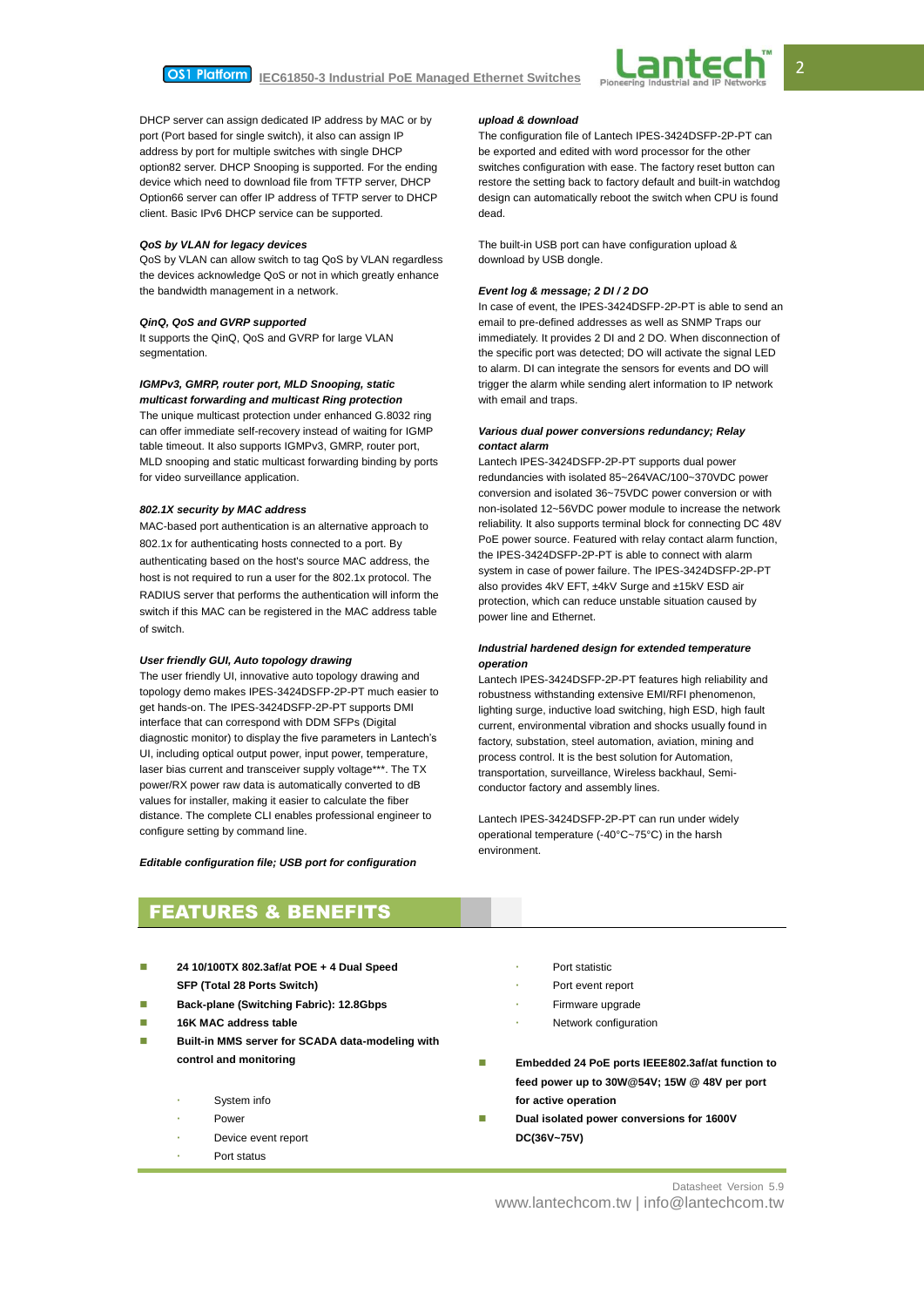

DHCP server can assign dedicated IP address by MAC or by port (Port based for single switch), it also can assign IP address by port for multiple switches with single DHCP option82 server. DHCP Snooping is supported. For the ending device which need to download file from TFTP server, DHCP Option66 server can offer IP address of TFTP server to DHCP client. Basic IPv6 DHCP service can be supported.

### *QoS by VLAN for legacy devices*

QoS by VLAN can allow switch to tag QoS by VLAN regardless the devices acknowledge QoS or not in which greatly enhance the bandwidth management in a network.

### *QinQ, QoS and GVRP supported*

It supports the QinQ, QoS and GVRP for large VLAN segmentation.

# *IGMPv3, GMRP, router port, MLD Snooping, static*

*multicast forwarding and multicast Ring protection* The unique multicast protection under enhanced G.8032 ring can offer immediate self-recovery instead of waiting for IGMP table timeout. It also supports IGMPv3, GMRP, router port, MLD snooping and static multicast forwarding binding by ports for video surveillance application.

## *802.1X security by MAC address*

MAC-based port authentication is an alternative approach to 802.1x for authenticating hosts connected to a port. By authenticating based on the host's source MAC address, the host is not required to run a user for the 802.1x protocol. The RADIUS server that performs the authentication will inform the switch if this MAC can be registered in the MAC address table of switch.

### *User friendly GUI, Auto topology drawing*

The user friendly UI, innovative auto topology drawing and topology demo makes IPES-3424DSFP-2P-PT much easier to get hands-on. The IPES-3424DSFP-2P-PT supports DMI interface that can correspond with DDM SFPs (Digital diagnostic monitor) to display the five parameters in Lantech's UI, including optical output power, input power, temperature, laser bias current and transceiver supply voltage\*\*\*. The TX power/RX power raw data is automatically converted to dB values for installer, making it easier to calculate the fiber distance. The complete CLI enables professional engineer to configure setting by command line.

### *Editable configuration file; USB port for configuration*

### *upload & download*

The configuration file of Lantech IPES-3424DSFP-2P-PT can be exported and edited with word processor for the other switches configuration with ease. The factory reset button can restore the setting back to factory default and built-in watchdog design can automatically reboot the switch when CPU is found dead.

The built-in USB port can have configuration upload & download by USB dongle.

### *Event log & message; 2 DI / 2 DO*

In case of event, the IPES-3424DSFP-2P-PT is able to send an email to pre-defined addresses as well as SNMP Traps our immediately. It provides 2 DI and 2 DO. When disconnection of the specific port was detected; DO will activate the signal LED to alarm. DI can integrate the sensors for events and DO will trigger the alarm while sending alert information to IP network with email and traps.

## *Various dual power conversions redundancy; Relay contact alarm*

Lantech IPES-3424DSFP-2P-PT supports dual power redundancies with isolated 85~264VAC/100~370VDC power conversion and isolated 36~75VDC power conversion or with non-isolated 12~56VDC power module to increase the network reliability. It also supports terminal block for connecting DC 48V PoE power source. Featured with relay contact alarm function, the IPES-3424DSFP-2P-PT is able to connect with alarm system in case of power failure. The IPES-3424DSFP-2P-PT also provides 4kV EFT, ±4kV Surge and ±15kV ESD air protection, which can reduce unstable situation caused by power line and Ethernet.

### *Industrial hardened design for extended temperature operation*

Lantech IPES-3424DSFP-2P-PT features high reliability and robustness withstanding extensive EMI/RFI phenomenon, lighting surge, inductive load switching, high ESD, high fault current, environmental vibration and shocks usually found in factory, substation, steel automation, aviation, mining and process control. It is the best solution for Automation, transportation, surveillance, Wireless backhaul, Semiconductor factory and assembly lines.

Lantech IPES-3424DSFP-2P-PT can run under widely operational temperature (-40°C~75°C) in the harsh environment.

# FEATURES & BENEFITS

- **24 10/100TX 802.3af/at POE + 4 Dual Speed SFP (Total 28 Ports Switch)**
- **Back-plane (Switching Fabric): 12.8Gbps**
- **16K MAC address table**
- **Built-in MMS server for SCADA data-modeling with control and monitoring**
	- System info
	- Power
	- Device event report
	- Port status
- Port statistic
- Port event report
- Firmware upgrade
- Network configuration
- **Embedded 24 PoE ports IEEE802.3af/at function to feed power up to 30W@54V; 15W @ 48V per port for active operation**
- **Dual isolated power conversions for 1600V DC(36V~75V)**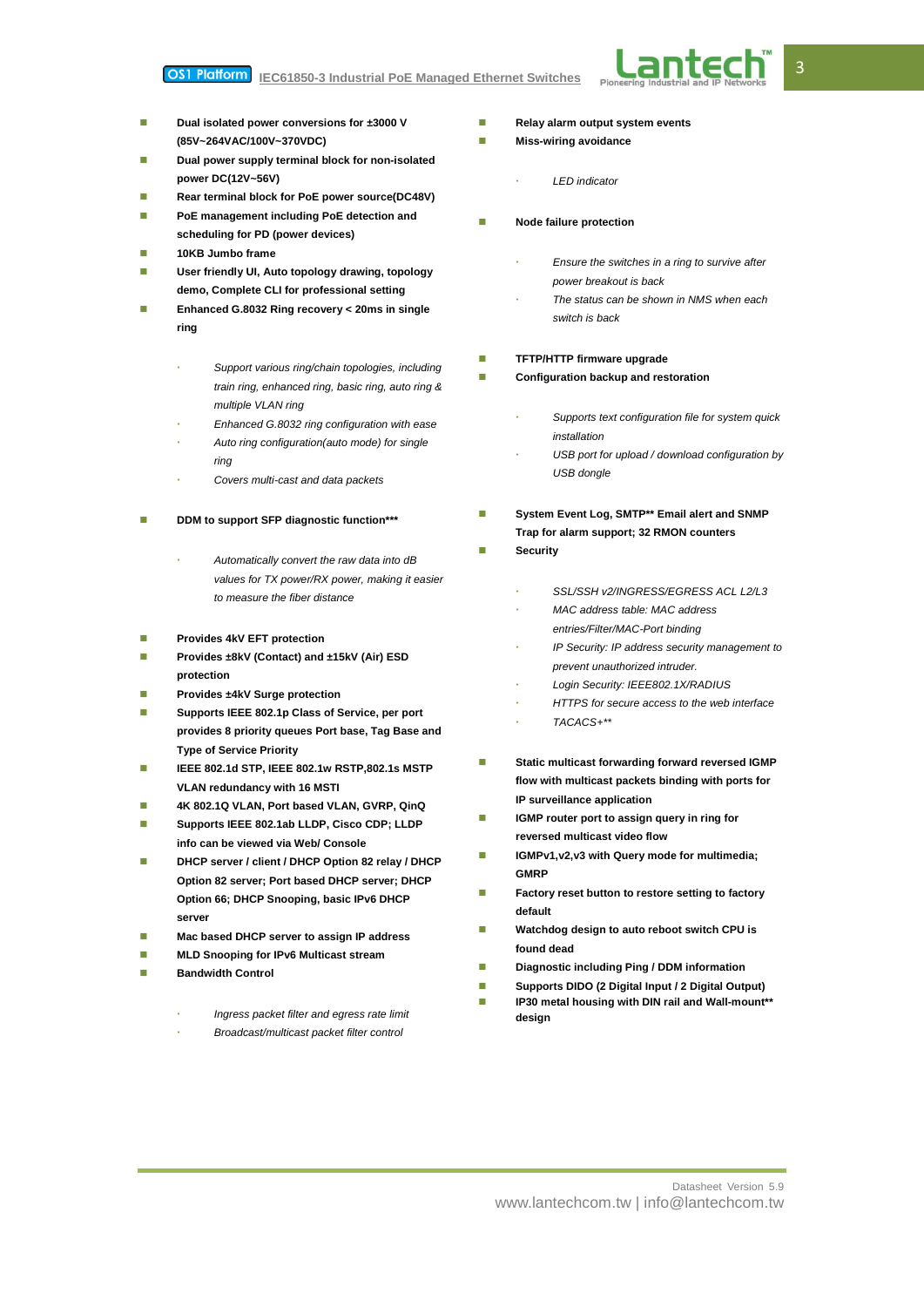#### OS1 Platform **IEC61850-3 Industrial PoE Managed Ethernet Switches**



- **Dual isolated power conversions for ±3000 V (85V~264VAC/100V~370VDC)**
- **Dual power supply terminal block for non-isolated power DC(12V~56V)**
- **Rear terminal block for PoE power source(DC48V)**
- **PoE management including PoE detection and scheduling for PD (power devices)**
- **10KB Jumbo frame**
- **User friendly UI, Auto topology drawing, topology demo, Complete CLI for professional setting**
- **Enhanced G.8032 Ring recovery < 20ms in single ring**
	- *Support various ring/chain topologies, including train ring, enhanced ring, basic ring, auto ring & multiple VLAN ring*
	- *Enhanced G.8032 ring configuration with ease*
	- *Auto ring configuration(auto mode) for single ring*
	- *Covers multi-cast and data packets*
- **DDM to support SFP diagnostic function\*\*\***
	- *Automatically convert the raw data into dB values for TX power/RX power, making it easier to measure the fiber distance*
- **Provides 4kV EFT protection**
- **Provides ±8kV (Contact) and ±15kV (Air) ESD protection**
- **Provides ±4kV Surge protection**
- Supports IEEE 802.1p Class of Service, per port **provides 8 priority queues Port base, Tag Base and Type of Service Priority**
- **IEEE 802.1d STP, IEEE 802.1w RSTP,802.1s MSTP VLAN redundancy with 16 MSTI**
- **4K 802.1Q VLAN, Port based VLAN, GVRP, QinQ**
- **Supports IEEE 802.1ab LLDP, Cisco CDP; LLDP info can be viewed via Web/ Console**
- **DHCP server / client / DHCP Option 82 relay / DHCP Option 82 server; Port based DHCP server; DHCP Option 66; DHCP Snooping, basic IPv6 DHCP server**
- **Mac based DHCP server to assign IP address**
- **MLD Snooping for IPv6 Multicast stream**
- **Bandwidth Control**
	- *Ingress packet filter and egress rate limit*
	- *Broadcast/multicast packet filter control*
- **Relay alarm output system events**
- **Miss-wiring avoidance** 
	- *LED indicator*
- **Node failure protection** 
	- *Ensure the switches in a ring to survive after power breakout is back*
	- *The status can be shown in NMS when each switch is back*
- **TFTP/HTTP firmware upgrade**
- **Configuration backup and restoration** 
	- *Supports text configuration file for system quick installation*
	- *USB port for upload / download configuration by USB dongle*
- **System Event Log, SMTP\*\* Email alert and SNMP Trap for alarm support; 32 RMON counters**
- **Security**
	- *SSL/SSH v2/INGRESS/EGRESS ACL L2/L3*
	- *MAC address table: MAC address entries/Filter/MAC-Port binding*
	- *IP Security: IP address security management to prevent unauthorized intruder.*
	- *Login Security: IEEE802.1X/RADIUS*
	- *HTTPS for secure access to the web interface*
	- *TACACS+\*\**
- **Static multicast forwarding forward reversed IGMP flow with multicast packets binding with ports for IP surveillance application**
- **IGMP** router port to assign query in ring for **reversed multicast video flow**
- **IGMPv1,v2,v3 with Query mode for multimedia; GMRP**
- **Factory reset button to restore setting to factory default**
- **Watchdog design to auto reboot switch CPU is found dead**
- **Diagnostic including Ping / DDM information**
- **Supports DIDO (2 Digital Input / 2 Digital Output)**
- **IP30 metal housing with DIN rail and Wall-mount\*\* design**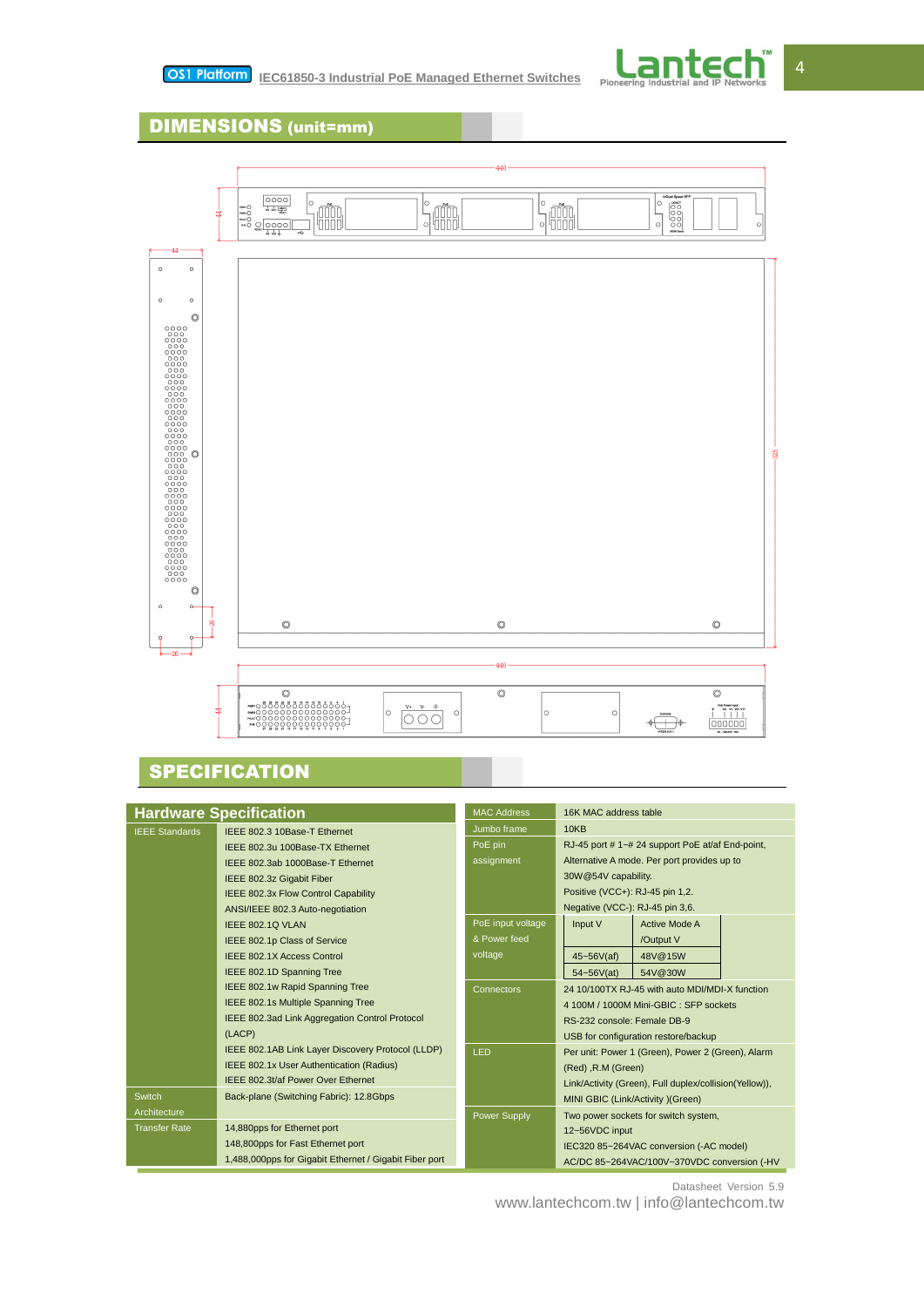

# DIMENSIONS (unit=mm)



# **SPECIFICATION**

| <b>Hardware Specification</b> |                                                        | <b>MAC Address</b>                                        | 16K MAC address table                                  |  |
|-------------------------------|--------------------------------------------------------|-----------------------------------------------------------|--------------------------------------------------------|--|
| <b>IEEE Standards</b>         | IEEE 802.3 10Base-T Ethernet                           | Jumbo frame                                               | <b>10KB</b>                                            |  |
|                               | IEEE 802.3u 100Base-TX Ethernet                        | RJ-45 port #1~#24 support PoE at/af End-point,<br>PoE pin |                                                        |  |
|                               | IEEE 802.3ab 1000Base-T Ethernet                       | assignment                                                | Alternative A mode. Per port provides up to            |  |
|                               | IEEE 802.3z Gigabit Fiber                              |                                                           | 30W@54V capability.                                    |  |
|                               | IEEE 802.3x Flow Control Capability                    |                                                           | Positive (VCC+): RJ-45 pin 1,2.                        |  |
|                               | ANSI/IEEE 802.3 Auto-negotiation                       |                                                           | Negative (VCC-): RJ-45 pin 3,6.                        |  |
|                               | IEEE 802.10 VLAN                                       | PoE input voltage                                         | Active Mode A<br>Input V                               |  |
|                               | IEEE 802.1p Class of Service                           | & Power feed                                              | /Output V                                              |  |
|                               | <b>IEEE 802.1X Access Control</b>                      | voltage                                                   | $45 - 56V(af)$<br>48V@15W                              |  |
|                               | IEEE 802.1D Spanning Tree                              |                                                           | 54~56V(at)<br>54V@30W                                  |  |
|                               | IEEE 802.1w Rapid Spanning Tree                        | <b>Connectors</b>                                         | 24 10/100TX RJ-45 with auto MDI/MDI-X function         |  |
|                               | IEEE 802.1s Multiple Spanning Tree                     |                                                           | 4 100M / 1000M Mini-GBIC: SFP sockets                  |  |
|                               | IEEE 802.3ad Link Aggregation Control Protocol         |                                                           | RS-232 console: Female DB-9                            |  |
|                               | (LACP)                                                 |                                                           | USB for configuration restore/backup                   |  |
|                               | IEEE 802.1AB Link Layer Discovery Protocol (LLDP)      | LED                                                       | Per unit: Power 1 (Green), Power 2 (Green), Alarm      |  |
|                               | IEEE 802.1x User Authentication (Radius)               |                                                           | (Red), R.M (Green)                                     |  |
|                               | IEEE 802.3t/af Power Over Ethernet                     |                                                           | Link/Activity (Green), Full duplex/collision(Yellow)), |  |
| Switch                        | Back-plane (Switching Fabric): 12.8Gbps                |                                                           | MINI GBIC (Link/Activity )(Green)                      |  |
| Architecture                  |                                                        | <b>Power Supply</b>                                       | Two power sockets for switch system,                   |  |
| <b>Transfer Rate</b>          | 14,880pps for Ethernet port                            |                                                           | 12~56VDC input                                         |  |
|                               | 148,800pps for Fast Ethernet port                      |                                                           | IEC320 85~264VAC conversion (-AC model)                |  |
|                               | 1,488,000pps for Gigabit Ethernet / Gigabit Fiber port |                                                           | AC/DC 85~264VAC/100V~370VDC conversion (-HV            |  |

Datasheet Version 5.9

www.lantechcom.tw | info@lantechcom.tw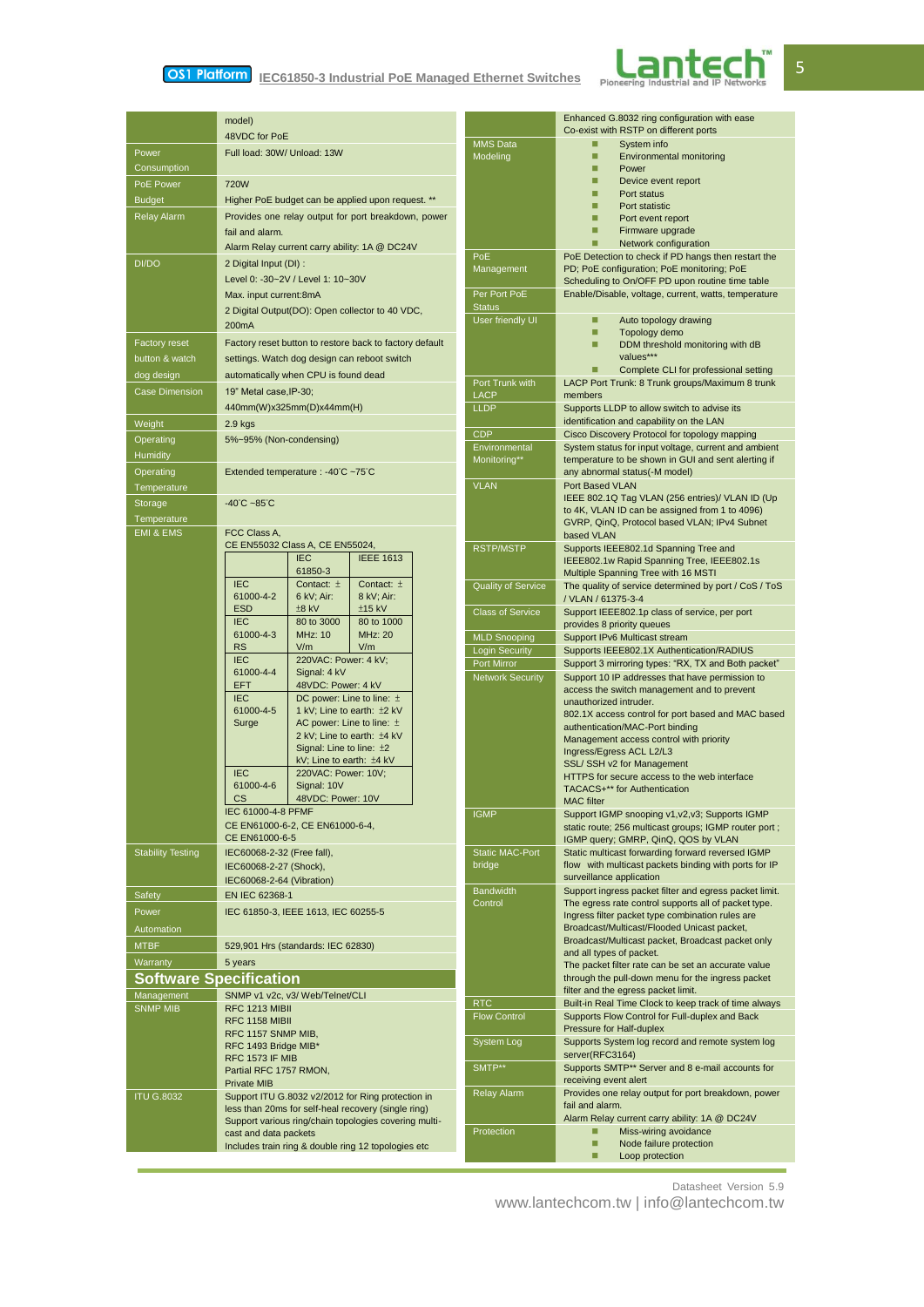# **Interpret 2018 19 IEC61850-3 Industrial PoE Managed Ethernet Switches**



|                               | model)                                                                             |                                   | Enhanced G.8032 ring configuration with ease<br>Co-exist with RSTP on different ports                      |
|-------------------------------|------------------------------------------------------------------------------------|-----------------------------------|------------------------------------------------------------------------------------------------------------|
|                               | 48VDC for PoE<br><b>MMS Data</b>                                                   |                                   | □<br>System info                                                                                           |
| Power<br>Consumption          | Full load: 30W/ Unload: 13W                                                        | Modeling                          | □<br>Environmental monitoring<br>□                                                                         |
| PoE Power                     | <b>720W</b>                                                                        |                                   | Power<br>□<br>Device event report                                                                          |
| <b>Budget</b>                 | Higher PoE budget can be applied upon request. **                                  |                                   | □<br>Port status                                                                                           |
| Relay Alarm                   | Provides one relay output for port breakdown, power                                |                                   | □<br>Port statistic<br>□<br>Port event report                                                              |
|                               | fail and alarm.                                                                    |                                   | □<br>Firmware upgrade                                                                                      |
|                               | Alarm Relay current carry ability: 1A @ DC24V                                      |                                   | ■<br>Network configuration                                                                                 |
| DI/DO                         | 2 Digital Input (DI) :                                                             | PoE<br>Management                 | PoE Detection to check if PD hangs then restart the<br>PD; PoE configuration; PoE monitoring; PoE          |
|                               | Level 0: -30~2V / Level 1: 10~30V                                                  |                                   | Scheduling to On/OFF PD upon routine time table                                                            |
|                               | Max. input current:8mA                                                             | Per Port PoE                      | Enable/Disable, voltage, current, watts, temperature                                                       |
|                               | 2 Digital Output(DO): Open collector to 40 VDC,                                    | <b>Status</b><br>User friendly UI | Auto topology drawing<br>□                                                                                 |
|                               | 200 <sub>m</sub> A                                                                 |                                   | □<br>Topology demo                                                                                         |
| <b>Factory reset</b>          | Factory reset button to restore back to factory default                            |                                   | ■<br>DDM threshold monitoring with dB                                                                      |
| button & watch                | settings. Watch dog design can reboot switch                                       |                                   | values***<br>Complete CLI for professional setting<br>П                                                    |
| dog design                    | automatically when CPU is found dead                                               | Port Trunk with                   | LACP Port Trunk: 8 Trunk groups/Maximum 8 trunk                                                            |
| <b>Case Dimension</b>         | 19" Metal case, IP-30;                                                             | <b>LACP</b>                       | members                                                                                                    |
|                               | 440mm(W)x325mm(D)x44mm(H)                                                          | <b>LLDP</b>                       | Supports LLDP to allow switch to advise its<br>identification and capability on the LAN                    |
| Weight                        | $2.9$ kgs                                                                          | <b>CDP</b>                        | Cisco Discovery Protocol for topology mapping                                                              |
| Operating<br>Humidity         | 5%~95% (Non-condensing)                                                            | Environmental                     | System status for input voltage, current and ambient                                                       |
| Operating                     | Extended temperature : -40°C ~75°C                                                 | Monitoring**                      | temperature to be shown in GUI and sent alerting if<br>any abnormal status(-M model)                       |
| Temperature                   |                                                                                    | <b>VLAN</b>                       | Port Based VLAN                                                                                            |
| Storage                       | $-40^{\circ}$ C ~85 $^{\circ}$ C                                                   |                                   | IEEE 802.1Q Tag VLAN (256 entries)/ VLAN ID (Up                                                            |
| Temperature                   |                                                                                    |                                   | to 4K, VLAN ID can be assigned from 1 to 4096)<br>GVRP, QinQ, Protocol based VLAN; IPv4 Subnet             |
| <b>EMI &amp; EMS</b>          | FCC Class A,                                                                       |                                   | based VLAN                                                                                                 |
|                               | CE EN55032 Class A, CE EN55024,                                                    | <b>RSTP/MSTP</b>                  | Supports IEEE802.1d Spanning Tree and                                                                      |
|                               | <b>IEEE 1613</b><br><b>IEC</b><br>61850-3                                          |                                   | IEEE802.1w Rapid Spanning Tree, IEEE802.1s<br>Multiple Spanning Tree with 16 MSTI                          |
|                               | <b>IEC</b><br>Contact: $\pm$<br>Contact: $\pm$                                     | <b>Quality of Service</b>         | The quality of service determined by port / CoS / ToS                                                      |
|                               | 61000-4-2<br>6 kV; Air:<br>8 kV; Air:<br><b>ESD</b><br>$±8$ kV                     |                                   | / VLAN / 61375-3-4                                                                                         |
|                               | $±15$ kV<br><b>IEC</b><br>80 to 3000<br>80 to 1000                                 | <b>Class of Service</b>           | Support IEEE802.1p class of service, per port<br>provides 8 priority queues                                |
|                               | <b>MHz: 10</b><br><b>MHz: 20</b><br>61000-4-3                                      | <b>MLD Snooping</b>               | Support IPv6 Multicast stream                                                                              |
|                               | <b>RS</b><br>V/m<br>V/m<br>220VAC: Power: 4 kV;<br><b>IEC</b>                      | <b>Login Security</b>             | Supports IEEE802.1X Authentication/RADIUS                                                                  |
|                               | 61000-4-4<br>Signal: 4 kV                                                          | Port Mirror                       | Support 3 mirroring types: "RX, TX and Both packet"                                                        |
|                               | <b>EFT</b><br>48VDC: Power: 4 kV                                                   | <b>Network Security</b>           | Support 10 IP addresses that have permission to<br>access the switch management and to prevent             |
|                               | <b>IEC</b><br>DC power: Line to line: ±<br>61000-4-5<br>1 kV; Line to earth: ±2 kV |                                   | unauthorized intruder.                                                                                     |
|                               | Surge<br>AC power: Line to line: $\pm$                                             |                                   | 802.1X access control for port based and MAC based<br>authentication/MAC-Port binding                      |
|                               | 2 kV; Line to earth: ±4 kV                                                         |                                   | Management access control with priority                                                                    |
|                               | Signal: Line to line: ±2<br>kV; Line to earth: $±4$ kV                             |                                   | Ingress/Egress ACL L2/L3                                                                                   |
|                               | <b>IEC</b><br>220VAC: Power: 10V;                                                  |                                   | SSL/ SSH v2 for Management<br>HTTPS for secure access to the web interface                                 |
|                               | 61000-4-6<br>Signal: 10V                                                           |                                   | TACACS+** for Authentication                                                                               |
|                               | CS 48VDC: Power: 10V<br>IEC 61000-4-8 PFMF                                         |                                   | <b>MAC</b> filter                                                                                          |
|                               | CE EN61000-6-2, CE EN61000-6-4,                                                    | <b>IGMP</b>                       | Support IGMP snooping v1, v2, v3; Supports IGMP<br>static route; 256 multicast groups; IGMP router port;   |
|                               | CE EN61000-6-5                                                                     |                                   | IGMP query; GMRP, QinQ, QOS by VLAN                                                                        |
| <b>Stability Testing</b>      | IEC60068-2-32 (Free fall),                                                         | <b>Static MAC-Port</b><br>bridge  | Static multicast forwarding forward reversed IGMP<br>flow with multicast packets binding with ports for IP |
|                               | IEC60068-2-27 (Shock),<br>IEC60068-2-64 (Vibration)                                |                                   | surveillance application                                                                                   |
| Safety                        | EN IEC 62368-1                                                                     | <b>Bandwidth</b>                  | Support ingress packet filter and egress packet limit.                                                     |
| Power                         | IEC 61850-3, IEEE 1613, IEC 60255-5                                                | Control                           | The egress rate control supports all of packet type.<br>Ingress filter packet type combination rules are   |
| Automation                    |                                                                                    |                                   | Broadcast/Multicast/Flooded Unicast packet,                                                                |
| <b>MTBF</b>                   | 529,901 Hrs (standards: IEC 62830)                                                 |                                   | Broadcast/Multicast packet, Broadcast packet only                                                          |
| Warranty                      | 5 years                                                                            |                                   | and all types of packet.<br>The packet filter rate can be set an accurate value                            |
| <b>Software Specification</b> |                                                                                    |                                   | through the pull-down menu for the ingress packet                                                          |
| Management                    | SNMP v1 v2c, v3/ Web/Telnet/CLI                                                    |                                   | filter and the egress packet limit.                                                                        |
| <b>SNMP MIB</b>               | RFC 1213 MIBII                                                                     | <b>RTC</b><br><b>Flow Control</b> | Built-in Real Time Clock to keep track of time always<br>Supports Flow Control for Full-duplex and Back    |
|                               | <b>RFC 1158 MIBII</b><br>RFC 1157 SNMP MIB,                                        |                                   | Pressure for Half-duplex                                                                                   |
|                               | RFC 1493 Bridge MIB*                                                               | System Log                        | Supports System log record and remote system log                                                           |
|                               | <b>RFC 1573 IF MIB</b>                                                             | SMTP**                            | server(RFC3164)<br>Supports SMTP** Server and 8 e-mail accounts for                                        |
|                               | Partial RFC 1757 RMON,<br><b>Private MIB</b>                                       |                                   | receiving event alert                                                                                      |
| <b>ITU G.8032</b>             | Support ITU G.8032 v2/2012 for Ring protection in                                  | <b>Relay Alarm</b>                | Provides one relay output for port breakdown, power                                                        |
|                               | less than 20ms for self-heal recovery (single ring)                                |                                   | fail and alarm.<br>Alarm Relay current carry ability: 1A @ DC24V                                           |
|                               | Support various ring/chain topologies covering multi-<br>cast and data packets     | Protection                        | □<br>Miss-wiring avoidance                                                                                 |
|                               | Includes train ring & double ring 12 topologies etc                                |                                   | □<br>Node failure protection                                                                               |
|                               |                                                                                    |                                   | □<br>Loop protection                                                                                       |

Datasheet Version 5.9

www.lantechcom.tw | info@lantechcom.tw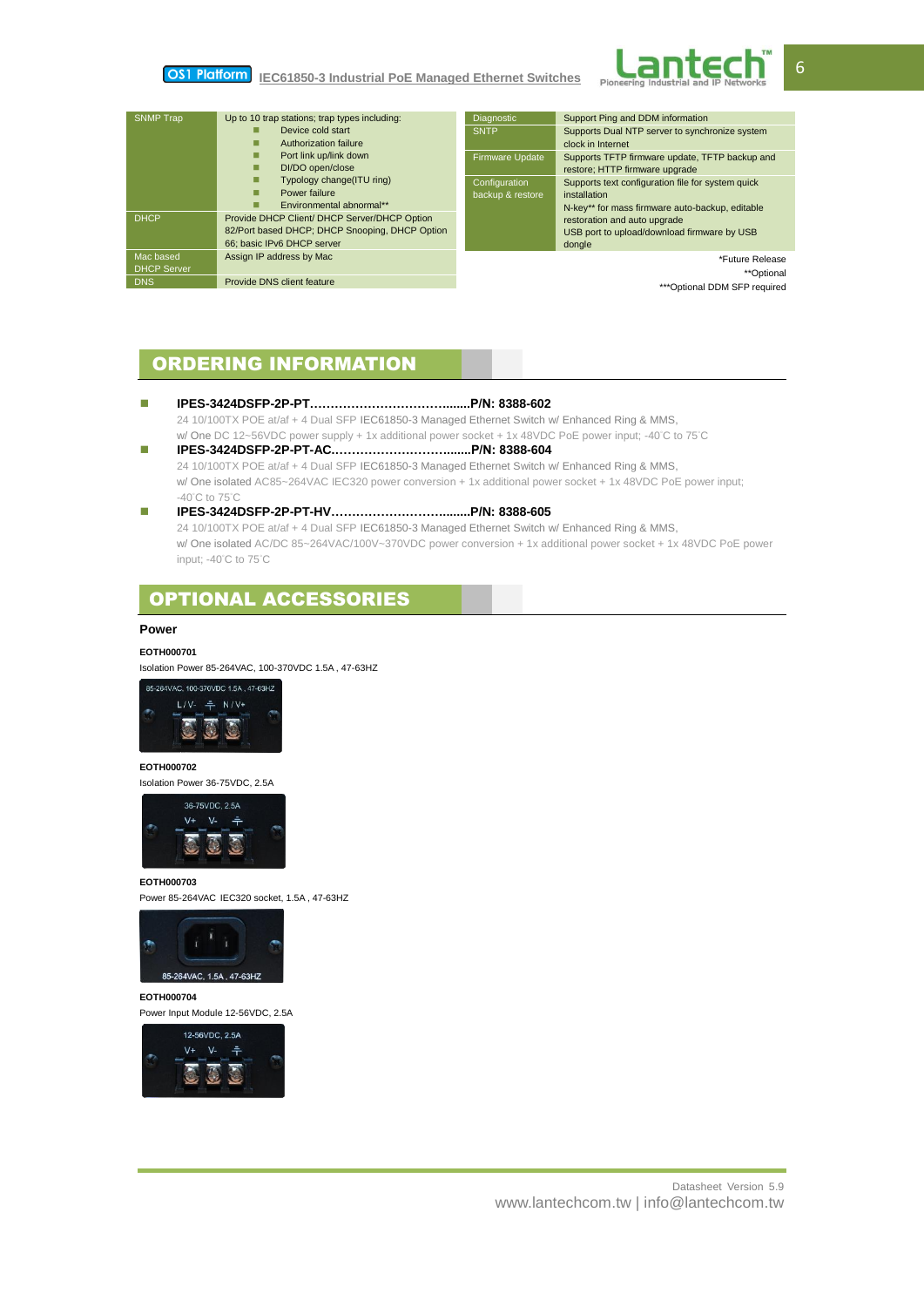#### OS1 Platform **IEC61850-3 Industrial PoE Managed Ethernet Switches**



| <b>SNMP Trap</b>   | Up to 10 trap stations; trap types including:  | Diagnostic                   | Support Ping and DDM information                  |
|--------------------|------------------------------------------------|------------------------------|---------------------------------------------------|
|                    | Device cold start                              | <b>SNTP</b>                  | Supports Dual NTP server to synchronize system    |
|                    | Authorization failure<br>П                     |                              | clock in Internet                                 |
|                    | Port link up/link down<br>п                    | <b>Firmware Update</b>       | Supports TFTP firmware update, TFTP backup and    |
|                    | DI/DO open/close<br>п                          |                              | restore; HTTP firmware upgrade                    |
|                    | Typology change(ITU ring)<br>п                 | Configuration                | Supports text configuration file for system quick |
|                    | Power failure<br>□                             | backup & restore             | installation                                      |
|                    | Environmental abnormal**<br>□                  |                              | N-key** for mass firmware auto-backup, editable   |
| <b>DHCP</b>        | Provide DHCP Client/ DHCP Server/DHCP Option   |                              | restoration and auto upgrade                      |
|                    | 82/Port based DHCP; DHCP Snooping, DHCP Option |                              | USB port to upload/download firmware by USB       |
|                    | 66: basic IPv6 DHCP server                     |                              | dongle                                            |
| Mac based          | Assign IP address by Mac                       |                              | *Future Release                                   |
| <b>DHCP Server</b> |                                                |                              | **Optional                                        |
| <b>DNS</b>         | Provide DNS client feature                     | ***Optional DDM SFP required |                                                   |
|                    |                                                |                              |                                                   |

# ORDERING INFORMATION

# **IPES-3424DSFP-2P-PT…………………………….......P/N: 8388-602**

24 10/100TX POE at/af + 4 Dual SFP IEC61850-3 Managed Ethernet Switch w/ Enhanced Ring & MMS, w/ One DC 12~56VDC power supply + 1x additional power socket + 1x 48VDC PoE power input; -40°C to 75°C **IPES-3424DSFP-2P-PT-AC.……………………….......P/N: 8388-604**

# 24 10/100TX POE at/af + 4 Dual SFP IEC61850-3 Managed Ethernet Switch w/ Enhanced Ring & MMS, w/ One isolated AC85~264VAC IEC320 power conversion + 1x additional power socket + 1x 48VDC PoE power input; -40°C to 75°C

### **IPES-3424DSFP-2P-PT-HV………………………........P/N: 8388-605** 24 10/100TX POE at/af + 4 Dual SFP IEC61850-3 Managed Ethernet Switch w/ Enhanced Ring & MMS,

w/ One isolated AC/DC 85~264VAC/100V~370VDC power conversion + 1x additional power socket + 1x 48VDC PoE power input; -40°C to 75°C

# OPTIONAL ACCESSORIES

## **Power**

## **EOTH000701**

Isolation Power 85-264VAC, 100-370VDC 1.5A , 47-63HZ



# **EOTH000702**

Isolation Power 36-75VDC, 2.5A



### **EOTH000703**

Power 85-264VAC IEC320 socket, 1.5A , 47-63HZ



### **EOTH000704**

Power Input Module 12-56VDC, 2.5A